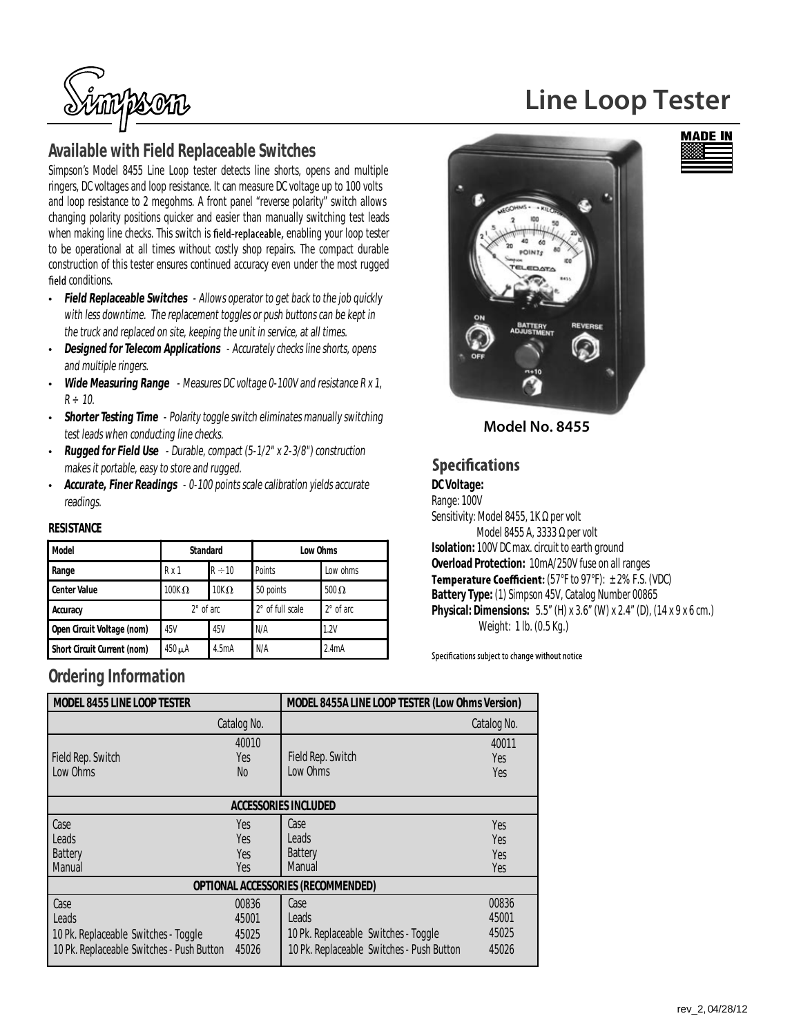

### **Available with Field Replaceable Switches**

Simpson's Model 8455 Line Loop tester detects line shorts, opens and multiple ringers, DC voltages and loop resistance. It can measure DC voltage up to 100 volts and loop resistance to 2 megohms. A front panel "reverse polarity" switch allows changing polarity positions quicker and easier than manually switching test leads when making line checks. This switch is field-replaceable, enabling your loop tester to be operational at all times without costly shop repairs. The compact durable construction of this tester ensures continued accuracy even under the most rugged field conditions.

- Field Replaceable Switches Allows operator to get back to the job quickly with less downtime. The replacement toggles or push buttons can be kept in the truck and replaced on site, keeping the unit in service, at all times.
- **Designed for Telecom Applications** Accurately checks line shorts, opens and multiple ringers.
- **Wide Measuring Range** Measures DC voltage 0-100V and resistance R x 1,  $R \div 10$ .
- **Shorter Testing Time** Polarity toggle switch eliminates manually switching test leads when conducting line checks.
- **Rugged for Field Use** Durable, compact (5-1/2" x 2-3/8") construction makes it portable, easy to store and rugged.
- **Accurate, Finer Readings** 0-100 points scale calibration yields accurate readings.

#### **RESISTANCE**

| <b>Model</b>                       | <b>Standard</b>     |             | Low Ohms                |                  |
|------------------------------------|---------------------|-------------|-------------------------|------------------|
| Range                              | Rx1                 | $R \div 10$ | Points                  | Low ohms         |
| <b>Center Value</b>                | $100K\Omega$        | $10K\Omega$ | 50 points               | $500 \Omega$     |
| Accuracy                           | $2^{\circ}$ of arc. |             | $2^\circ$ of full scale | $2^\circ$ of arc |
| Open Circuit Voltage (nom)         | 45V                 | 45V         | N/A                     | 1.2V             |
| <b>Short Circuit Current (nom)</b> | $450 \mu A$         | 4.5mA       | N/A                     | 2.4mA            |

### **Ordering Information**

| <b>MODEL 8455 LINE LOOP TESTER</b>        |             | MODEL 8455A LINE LOOP TESTER (Low Ohms Version) |             |  |  |
|-------------------------------------------|-------------|-------------------------------------------------|-------------|--|--|
|                                           |             |                                                 |             |  |  |
|                                           | Catalog No. |                                                 | Catalog No. |  |  |
|                                           | 40010       |                                                 | 40011       |  |  |
| Field Rep. Switch                         | Yes         | Field Rep. Switch                               | Yes         |  |  |
| Low Ohms                                  | No.         | Low Ohms                                        | Yes         |  |  |
|                                           |             |                                                 |             |  |  |
| <b>ACCESSORIES INCLUDED</b>               |             |                                                 |             |  |  |
| Case                                      | Yes         | Case                                            | Yes         |  |  |
| Leads                                     | Yes         | Leads                                           | Yes         |  |  |
| <b>Battery</b>                            | Yes         | <b>Battery</b>                                  | Yes         |  |  |
| Manual                                    | Yes         | <b>Manual</b>                                   | Yes         |  |  |
| OPTIONAL ACCESSORIES (RECOMMENDED)        |             |                                                 |             |  |  |
| Case                                      | 00836       | Case                                            | 00836       |  |  |
| Leads                                     | 45001       | Leads                                           | 45001       |  |  |
| 10 Pk. Replaceable Switches - Toggle      | 45025       | 10 Pk. Replaceable Switches - Toggle            | 45025       |  |  |
| 10 Pk. Replaceable Switches - Push Button | 45026       | 10 Pk. Replaceable Switches - Push Button       | 45026       |  |  |

# **Line Loop Tester**



**Model No. 8455**

### **Specifications**

#### **DC Voltage:**

Range: 100V Sensitivity: Model 8455, 1K per volt Model 8455 A, 3333 per volt **Isolation:** 100V DC max. circuit to earth ground **Overload Protection:** 10mA/250V fuse on all ranges **Temperature Coefficient:**  $(57°F to 97°F): ±2% F.S. (VDC)$ **Battery Type:** (1) Simpson 45V, Catalog Number 00865 **Physical: Dimensions:** 5.5" (H) x 3.6" (W) x 2.4" (D), (14 x 9 x 6 cm.) Weight: 1 lb. (0.5 Kg.)

Specifications subject to change without notice